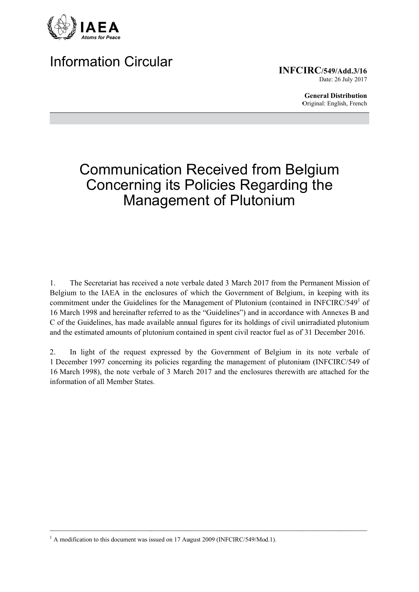

# **Information Circular**

**INFCIRC/549/Add.3/16** Date: 26 July 2017

> **General Distribution** Original: English, French

# **Communication Received from Belgium Concerning its Policies Regarding the Management of Plutonium**

The Secretariat has received a note verbale dated 3 March 2017 from the Permanent Mission of  $1<sub>1</sub>$ Belgium to the IAEA in the enclosures of which the Government of Belgium, in keeping with its commitment under the Guidelines for the Management of Plutonium (contained in INFCIRC/549<sup>1</sup> of 16 March 1998 and hereinafter referred to as the "Guidelines") and in accordance with Annexes B and C of the Guidelines, has made available annual figures for its holdings of civil unirradiated plutonium and the estimated amounts of plutonium contained in spent civil reactor fuel as of 31 December 2016.

In light of the request expressed by the Government of Belgium in its note verbale of 2. 1 December 1997 concerning its policies regarding the management of plutonium (INFCIRC/549 of 16 March 1998), the note verbale of 3 March 2017 and the enclosures therewith are attached for the information of all Member States.

<sup>&</sup>lt;sup>1</sup> A modification to this document was issued on 17 August 2009 (INFCIRC/549/Mod.1).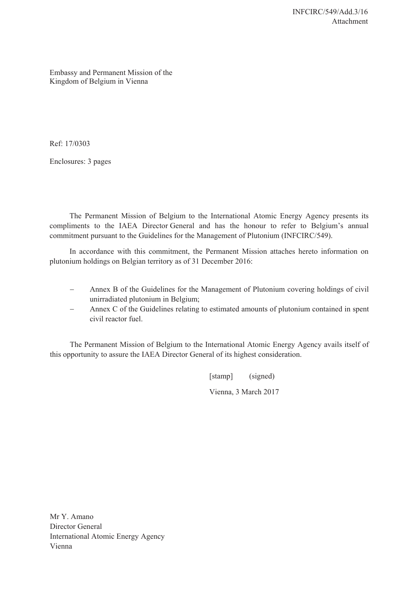Embassy and Permanent Mission of the Kingdom of Belgium in Vienna

Ref: 17/0303

Enclosures: 3 pages

The Permanent Mission of Belgium to the International Atomic Energy Agency presents its compliments to the IAEA Director General and has the honour to refer to Belgium's annual commitment pursuant to the Guidelines for the Management of Plutonium (INFCIRC/549).

In accordance with this commitment, the Permanent Mission attaches hereto information on plutonium holdings on Belgian territory as of 31 December 2016:

- Annex B of the Guidelines for the Management of Plutonium covering holdings of civil unirradiated plutonium in Belgium;
- Annex C of the Guidelines relating to estimated amounts of plutonium contained in spent civil reactor fuel.

The Permanent Mission of Belgium to the International Atomic Energy Agency avails itself of this opportunity to assure the IAEA Director General of its highest consideration.

> [stamp] (signed) Vienna, 3 March 2017

Mr Y. Amano Director General International Atomic Energy Agency Vienna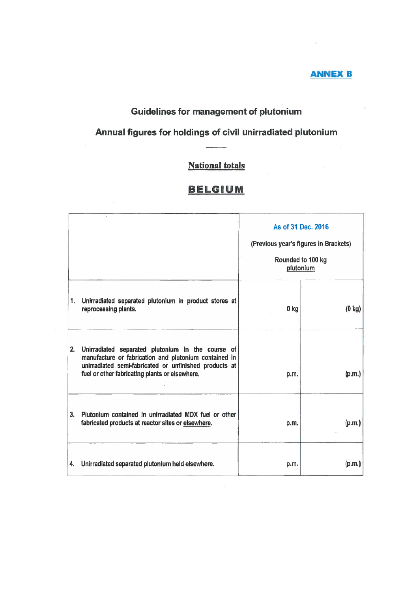### **ANNEX B**

# Guidelines for management of plutonium

# Annual figures for holdings of civil unirradiated plutonium

# **National totals**

## **BELGIUM**

|    |                                                                                                                                                                                                                           | As of 31 Dec. 2016<br>(Previous year's figures in Brackets)<br>Rounded to 100 kg<br>plutonium |                  |
|----|---------------------------------------------------------------------------------------------------------------------------------------------------------------------------------------------------------------------------|-----------------------------------------------------------------------------------------------|------------------|
| 1. | Unirradiated separated plutonium in product stores at<br>reprocessing plants.                                                                                                                                             | 0 <sub>kg</sub>                                                                               | $(0 \text{ kg})$ |
|    | 2. Unirradiated separated plutonium in the course of<br>manufacture or fabrication and plutonium contained in<br>unirradiated semi-fabricated or unfinished products at<br>fuel or other fabricating plants or elsewhere. | p.m.                                                                                          | (p.m.)           |
| 3. | Plutonium contained in unirradiated MOX fuel or other<br>fabricated products at reactor sites or elsewhere.                                                                                                               | p.m.                                                                                          | (p.m.)           |
| 4. | Unirradiated separated plutonium held elsewhere.                                                                                                                                                                          | p.m.                                                                                          | (p.m.)           |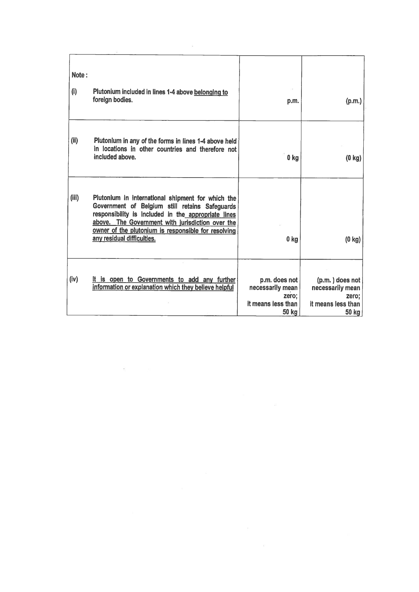| Note:<br>(i) | Plutonium included in lines 1-4 above belonging to<br>foreign bodies.                                                                                                                                                                                                                               | p.m.                                                                      | (p.m.)                                                                        |
|--------------|-----------------------------------------------------------------------------------------------------------------------------------------------------------------------------------------------------------------------------------------------------------------------------------------------------|---------------------------------------------------------------------------|-------------------------------------------------------------------------------|
| (ii)         | Plutonium in any of the forms in lines 1-4 above held<br>in locations in other countries and therefore not<br>included above.                                                                                                                                                                       | 0 <sub>kg</sub>                                                           | $(0 \text{ kg})$                                                              |
| (iii)        | Plutonium in international shipment for which the<br>Government of Belgium still retains Safeguards<br>responsibility is included in the appropriate lines<br>above. The Government with jurisdiction over the<br>owner of the plutonium is responsible for resolving<br>any residual difficulties. | 0 kg                                                                      | $(0 \text{ kg})$                                                              |
| (iv)         | It is open to Governments to add any further<br>information or explanation which they believe helpful                                                                                                                                                                                               | p.m. does not<br>necessarily mean<br>zero:<br>it means less than<br>50 kg | $(p.m.)$ does not<br>necessarily mean<br>zero;<br>it means less than<br>50 kg |

 $\label{eq:1.1} E_{\rm c} = -\frac{1}{2} \sum_{i=1}^{N} \frac{1}{2} \sum_{i=1}^{N} \frac{1}{2} \sum_{i=1}^{N} \frac{1}{2} \sum_{i=1}^{N} \frac{1}{2} \sum_{i=1}^{N} \frac{1}{2} \sum_{i=1}^{N} \frac{1}{2} \sum_{i=1}^{N} \frac{1}{2} \sum_{i=1}^{N} \frac{1}{2} \sum_{i=1}^{N} \frac{1}{2} \sum_{i=1}^{N} \frac{1}{2} \sum_{i=1}^{N} \frac{1}{2} \sum_{i=1}^{N$ 

 $\frac{37}{28}$ 

 $\sim 10^{11}$  m  $^{-1}$